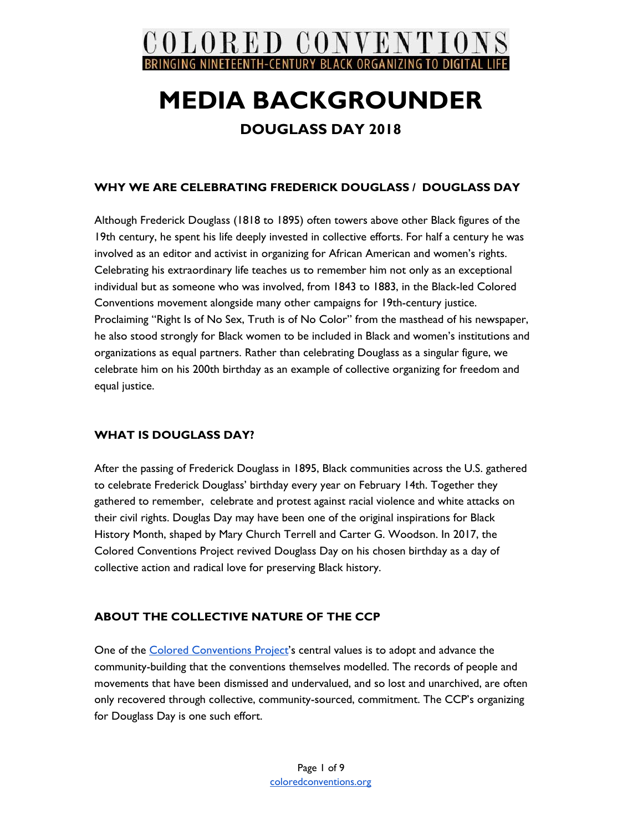

### **DOUGLASS DAY 2018**

### **WHY WE ARE CELEBRATING FREDERICK DOUGLASS / DOUGLASS DAY**

Although Frederick Douglass (1818 to 1895) often towers above other Black figures of the 19th century, he spent his life deeply invested in collective efforts. For half a century he was involved as an editor and activist in organizing for African American and women's rights. Celebrating his extraordinary life teaches us to remember him not only as an exceptional individual but as someone who was involved, from 1843 to 1883, in the Black-led Colored Conventions movement alongside many other campaigns for 19th-century justice. Proclaiming "Right Is of No Sex, Truth is of No Color" from the masthead of his newspaper, he also stood strongly for Black women to be included in Black and women's institutions and organizations as equal partners. Rather than celebrating Douglass as a singular figure, we celebrate him on his 200th birthday as an example of collective organizing for freedom and equal justice.

### **WHAT IS DOUGLASS DAY?**

After the passing of Frederick Douglass in 1895, Black communities across the U.S. gathered to celebrate Frederick Douglass' birthday every year on February 14th. Together they gathered to remember, celebrate and protest against racial violence and white attacks on their civil rights. Douglas Day may have been one of the original inspirations for Black History Month, shaped by Mary Church Terrell and Carter G. Woodson. In 2017, the Colored Conventions Project revived Douglass Day on his chosen birthday as a day of collective action and radical love for preserving Black history.

### **ABOUT THE COLLECTIVE NATURE OF THE CCP**

One of the Colored [Conventions](http://coloredconventions.org/about-us) Project's central values is to adopt and advance the community-building that the conventions themselves modelled. The records of people and movements that have been dismissed and undervalued, and so lost and unarchived, are often only recovered through collective, community-sourced, commitment. The CCP's organizing for Douglass Day is one such effort.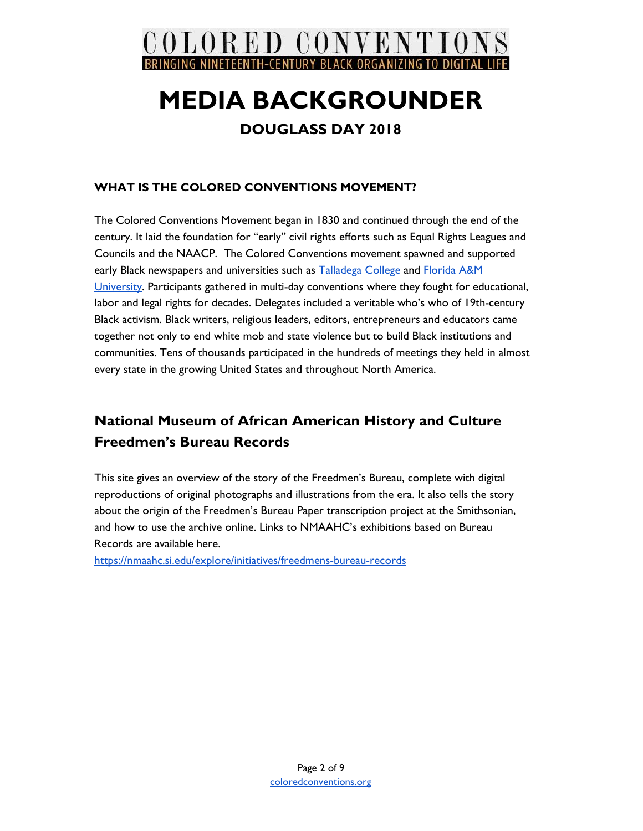

### **DOUGLASS DAY 2018**

### **WHAT IS THE COLORED CONVENTIONS MOVEMENT?**

The Colored Conventions Movement began in 1830 and continued through the end of the century. It laid the foundation for "early" civil rights efforts such as Equal Rights Leagues and Councils and the NAACP. The Colored Conventions movement spawned and supported early Black newspapers and universities such as **[Talladega](http://talladega.brinkster.net/joomla25/index.php) College and [Florida](http://www.famu.edu/) A&M** [University](http://www.famu.edu/). Participants gathered in multi-day conventions where they fought for educational, labor and legal rights for decades. Delegates included a veritable who's who of 19th-century Black activism. Black writers, religious leaders, editors, entrepreneurs and educators came together not only to end white mob and state violence but to build Black institutions and communities. Tens of thousands participated in the hundreds of meetings they held in almost every state in the growing United States and throughout North America.

## **National Museum of African American History and Culture Freedmen's Bureau Records**

This site gives an overview of the story of the Freedmen's Bureau, complete with digital reproductions of original photographs and illustrations from the era. It also tells the story about the origin of the Freedmen's Bureau Paper transcription project at the Smithsonian, and how to use the archive online. Links to NMAAHC's exhibitions based on Bureau Records are available here.

<https://nmaahc.si.edu/explore/initiatives/freedmens-bureau-records>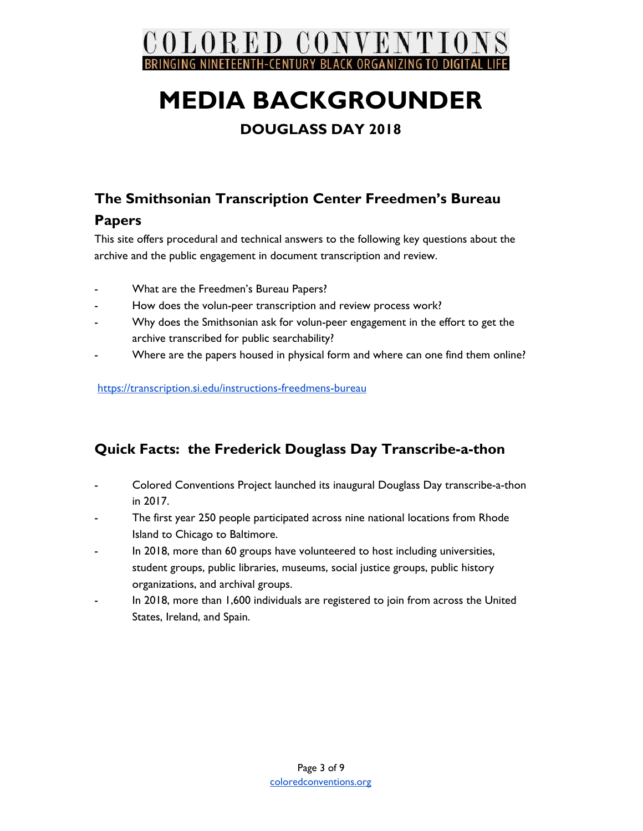

## **DOUGLASS DAY 2018**

## **The Smithsonian Transcription Center Freedmen's Bureau Papers**

This site offers procedural and technical answers to the following key questions about the archive and the public engagement in document transcription and review.

- What are the Freedmen's Bureau Papers?
- How does the volun-peer transcription and review process work?
- Why does the Smithsonian ask for volun-peer engagement in the effort to get the archive transcribed for public searchability?
- Where are the papers housed in physical form and where can one find them online?

[https://transcription.si.edu/instructions-freedmens-bureau](https://transcription.si.edu/instructions-freedmens-bureau#freedmens)

## **Quick Facts: the Frederick Douglass Day Transcribe-a-thon**

- Colored Conventions Project launched its inaugural Douglass Day transcribe-a-thon in 2017.
- The first year 250 people participated across nine national locations from Rhode Island to Chicago to Baltimore.
- In 2018, more than 60 groups have volunteered to host including universities, student groups, public libraries, museums, social justice groups, public history organizations, and archival groups.
- In 2018, more than 1,600 individuals are registered to join from across the United States, Ireland, and Spain.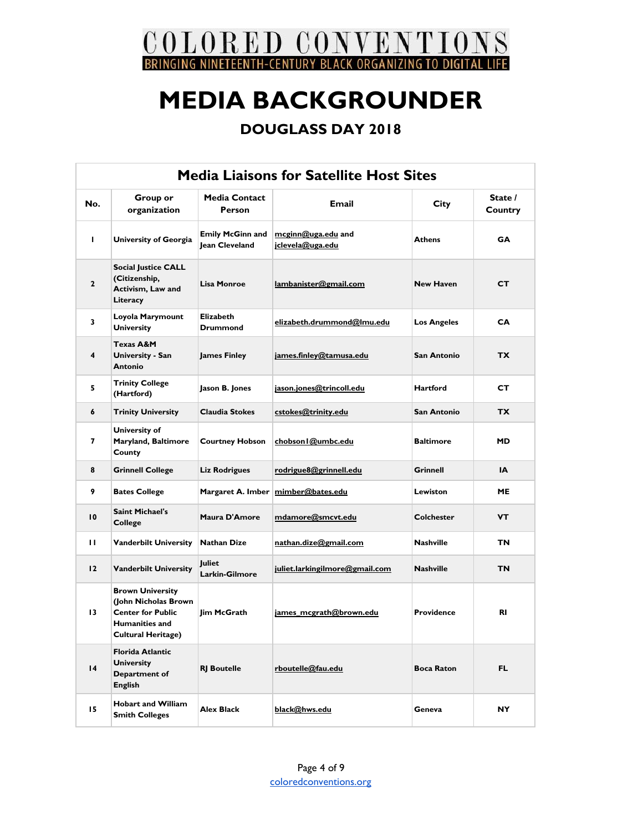

| <b>Media Liaisons for Satellite Host Sites</b> |                                                                                                                                   |                                           |                                          |                    |                    |  |  |
|------------------------------------------------|-----------------------------------------------------------------------------------------------------------------------------------|-------------------------------------------|------------------------------------------|--------------------|--------------------|--|--|
| No.                                            | Group or<br>organization                                                                                                          | <b>Media Contact</b><br><b>Person</b>     | <b>Email</b>                             | <b>City</b>        | State /<br>Country |  |  |
| L.                                             | <b>University of Georgia</b>                                                                                                      | <b>Emily McGinn and</b><br>Jean Cleveland | $mcginn@uga.edu$ and<br>jclevela@uga.edu | <b>Athens</b>      | <b>GA</b>          |  |  |
| $\mathbf{2}$                                   | <b>Social Justice CALL</b><br>(Citizenship,<br>Activism, Law and<br>Literacy                                                      | <b>Lisa Monroe</b>                        | lambanister@gmail.com                    | <b>New Haven</b>   | СT                 |  |  |
| 3                                              | Loyola Marymount<br><b>University</b>                                                                                             | <b>Elizabeth</b><br><b>Drummond</b>       | elizabeth.drummond@lmu.edu               | <b>Los Angeles</b> | CA                 |  |  |
| 4                                              | <b>Texas A&amp;M</b><br>University - San<br><b>Antonio</b>                                                                        | <b>James Finley</b>                       | james.finley@tamusa.edu                  | San Antonio        | <b>TX</b>          |  |  |
| 5                                              | <b>Trinity College</b><br>(Hartford)                                                                                              | Jason B. Jones                            | jason.jones@trincoll.edu                 | Hartford           | CТ                 |  |  |
| 6                                              | <b>Trinity University</b>                                                                                                         | <b>Claudia Stokes</b>                     | cstokes@trinity.edu                      | San Antonio        | TX.                |  |  |
| 7                                              | University of<br>Maryland, Baltimore<br>County                                                                                    | <b>Courtney Hobson</b>                    | chobson I@umbc.edu                       | <b>Baltimore</b>   | <b>MD</b>          |  |  |
| 8                                              | <b>Grinnell College</b>                                                                                                           | <b>Liz Rodrigues</b>                      | rodrigue8@grinnell.edu                   | Grinnell           | IΑ                 |  |  |
| 9                                              | <b>Bates College</b>                                                                                                              | Margaret A. Imber                         | mimber@bates.edu                         | <b>Lewiston</b>    | <b>ME</b>          |  |  |
| 10                                             | <b>Saint Michael's</b><br>College                                                                                                 | Maura D'Amore                             | mdamore@smcvt.edu                        | <b>Colchester</b>  | VТ                 |  |  |
| Ш                                              | <b>Vanderbilt University</b>                                                                                                      | <b>Nathan Dize</b>                        | nathan.dize@gmail.com                    | Nashville          | ΤN                 |  |  |
| 12                                             | <b>Vanderbilt University</b>                                                                                                      | <b>luliet</b><br>Larkin-Gilmore           | juliet.larkingilmore@gmail.com           | <b>Nashville</b>   | <b>TN</b>          |  |  |
| 13                                             | <b>Brown University</b><br>(John Nicholas Brown<br><b>Center for Public</b><br><b>Humanities and</b><br><b>Cultural Heritage)</b> | lim McGrath                               | james_mcgrath@brown.edu                  | <b>Providence</b>  | <b>RI</b>          |  |  |
| $\overline{14}$                                | <b>Florida Atlantic</b><br><b>University</b><br>Department of<br><b>English</b>                                                   | <b>RJ</b> Boutelle                        | rboutelle@fau.edu                        | <b>Boca Raton</b>  | FL.                |  |  |
| 15                                             | <b>Hobart and William</b><br><b>Smith Colleges</b>                                                                                | Alex Black                                | black@hws.edu                            | Geneva             | NY                 |  |  |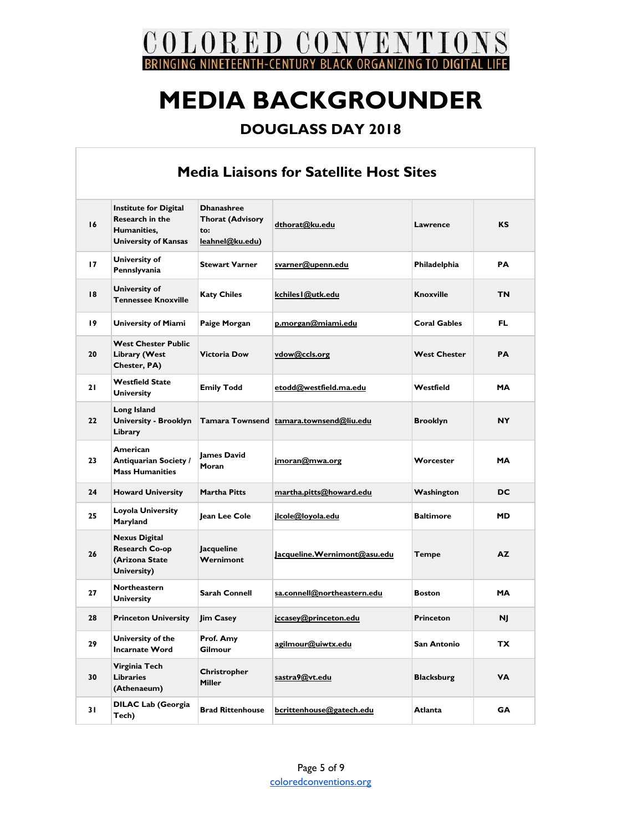

| <b>Media Liaisons for Satellite Host Sites</b> |                                                                                                      |                                                                        |                                         |                     |           |  |
|------------------------------------------------|------------------------------------------------------------------------------------------------------|------------------------------------------------------------------------|-----------------------------------------|---------------------|-----------|--|
| 16                                             | <b>Institute for Digital</b><br><b>Research in the</b><br>Humanities.<br><b>University of Kansas</b> | <b>Dhanashree</b><br><b>Thorat (Advisory</b><br>to:<br>leahnel@ku.edu) | dthorat@ku.edu                          |                     | КS        |  |
| 17                                             | University of<br>Pennslyvania                                                                        | <b>Stewart Varner</b>                                                  | svarner@upenn.edu                       | Philadelphia        | PA        |  |
| 18                                             | <b>University of</b><br><b>Tennessee Knoxville</b>                                                   | <b>Katy Chiles</b>                                                     | kchiles l@utk.edu                       | <b>Knoxville</b>    | ΤN        |  |
| 19                                             | <b>University of Miami</b>                                                                           | Paige Morgan                                                           | p.morgan@miami.edu                      | <b>Coral Gables</b> | FL.       |  |
| 20                                             | <b>West Chester Public</b><br>Library (West<br>Chester, PA)                                          | <b>Victoria Dow</b>                                                    | vdow@ccls.org                           | <b>West Chester</b> | <b>PA</b> |  |
| 21                                             | <b>Westfield State</b><br><b>University</b>                                                          | <b>Emily Todd</b>                                                      | etodd@westfield.ma.edu                  | Westfield           | MА        |  |
| 22                                             | Long Island<br><b>University - Brooklyn</b><br>Library                                               |                                                                        | Tamara Townsend tamara.townsend@liu.edu | <b>Brooklyn</b>     | <b>NY</b> |  |
| 23                                             | American<br><b>Antiquarian Society /</b><br><b>Mass Humanities</b>                                   | <b>lames David</b><br>Moran                                            | imoran@mwa.org                          | Worcester           | <b>MA</b> |  |
| 24                                             | <b>Howard University</b>                                                                             | <b>Martha Pitts</b>                                                    | martha.pitts@howard.edu                 | Washington          | DC        |  |
| 25                                             | Loyola University<br>Maryland                                                                        | Jean Lee Cole                                                          | jlcole@loyola.edu                       | <b>Baltimore</b>    | <b>MD</b> |  |
| 26                                             | <b>Nexus Digital</b><br><b>Research Co-op</b><br>(Arizona State<br>University)                       | Jacqueline<br>Wernimont                                                | Jacqueline.Wernimont@asu.edu            | Tempe               | AZ.       |  |
| 27                                             | <b>Northeastern</b><br><b>University</b>                                                             | <b>Sarah Connell</b>                                                   | sa.connell@northeastern.edu             | <b>Boston</b>       | <b>MA</b> |  |
| 28                                             | <b>Princeton University</b>                                                                          | <b>Jim Casey</b>                                                       | jccasey@princeton.edu                   | <b>Princeton</b>    | NJ        |  |
| 29                                             | University of the<br><b>Incarnate Word</b>                                                           | Prof. Amy<br>Gilmour                                                   | agilmour@uiwtx.edu                      | San Antonio         | ТX        |  |
| 30                                             | Virginia Tech<br><b>Libraries</b><br>(Athenaeum)                                                     | Christropher<br>Miller                                                 | sastra9@vt.edu                          | <b>Blacksburg</b>   | ٧Α        |  |
| 31                                             | <b>DILAC Lab (Georgia</b><br>Tech)                                                                   | <b>Brad Rittenhouse</b>                                                | bcrittenhouse@gatech.edu                | Atlanta             | GА        |  |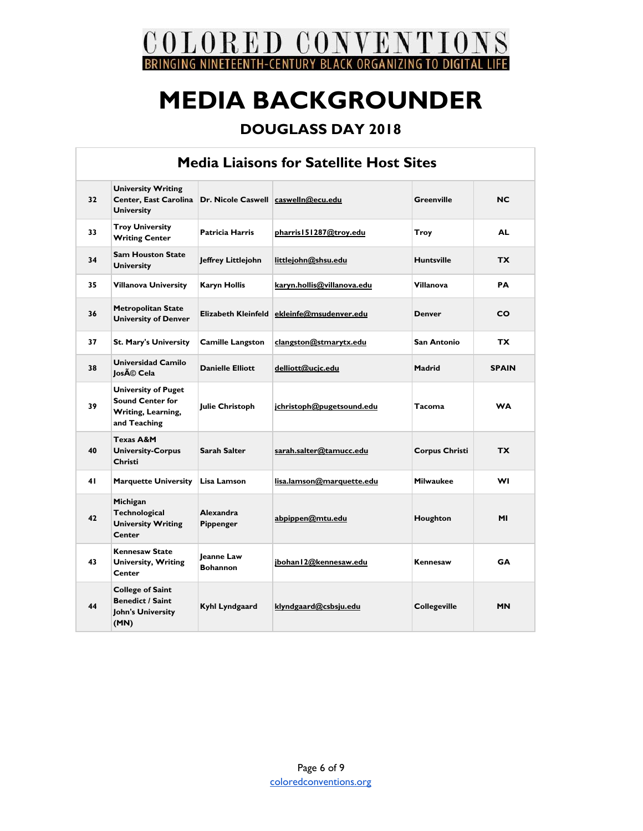

| <b>Media Liaisons for Satellite Host Sites</b> |                                                                                             |                                      |                            |                       |              |  |
|------------------------------------------------|---------------------------------------------------------------------------------------------|--------------------------------------|----------------------------|-----------------------|--------------|--|
| 32                                             | <b>University Writing</b><br>Center, East Carolina<br><b>University</b>                     | Dr. Nicole Caswell caswelln@ecu.edu  |                            | <b>Greenville</b>     | NC           |  |
| 33                                             | <b>Troy University</b><br><b>Writing Center</b>                                             | <b>Patricia Harris</b>               | pharris 151287@troy.edu    | Troy                  | <b>AL</b>    |  |
| 34                                             | <b>Sam Houston State</b><br><b>University</b>                                               | Jeffrey Littlejohn                   | littlejohn@shsu.edu        | <b>Huntsville</b>     | <b>TX</b>    |  |
| 35                                             | <b>Villanova University</b>                                                                 | <b>Karyn Hollis</b>                  | karyn.hollis@villanova.edu | <b>Villanova</b>      | PA           |  |
| 36                                             | <b>Metropolitan State</b><br><b>University of Denver</b>                                    | Elizabeth Kleinfeld                  | ekleinfe@msudenver.edu     | <b>Denver</b>         | CO           |  |
| 37                                             | <b>St. Mary's University</b>                                                                | <b>Camille Langston</b>              | clangston@stmarytx.edu     | San Antonio           | TX.          |  |
| 38                                             | Universidad Camilo<br>losé Cela                                                             | <b>Danielle Elliott</b>              | delliott@ucjc.edu          | Madrid                | <b>SPAIN</b> |  |
| 39                                             | <b>University of Puget</b><br><b>Sound Center for</b><br>Writing, Learning,<br>and Teaching | <b>Julie Christoph</b>               | jchristoph@pugetsound.edu  | <b>Tacoma</b>         | <b>WA</b>    |  |
| 40                                             | <b>Texas A&amp;M</b><br><b>University-Corpus</b><br>Christi                                 | <b>Sarah Salter</b>                  | sarah.salter@tamucc.edu    | <b>Corpus Christi</b> | <b>TX</b>    |  |
| 41                                             | <b>Marquette University</b>                                                                 | Lisa Lamson                          | lisa.lamson@marquette.edu  | <b>Milwaukee</b>      | WI           |  |
| 42                                             | Michigan<br>Technological<br><b>University Writing</b><br>Center                            | <b>Alexandra</b><br>Pippenger        | abpippen@mtu.edu           | Houghton              | ΜI           |  |
| 43                                             | <b>Kennesaw State</b><br><b>University, Writing</b><br>Center                               | <b>leanne Law</b><br><b>Bohannon</b> | jbohan I 2@kennesaw.edu    | Kennesaw              | GA           |  |
| 44                                             | <b>College of Saint</b><br><b>Benedict / Saint</b><br>John's University<br>(MN)             | Kyhl Lyndgaard                       | klyndgaard@csbsju.edu      | <b>Collegeville</b>   | <b>MN</b>    |  |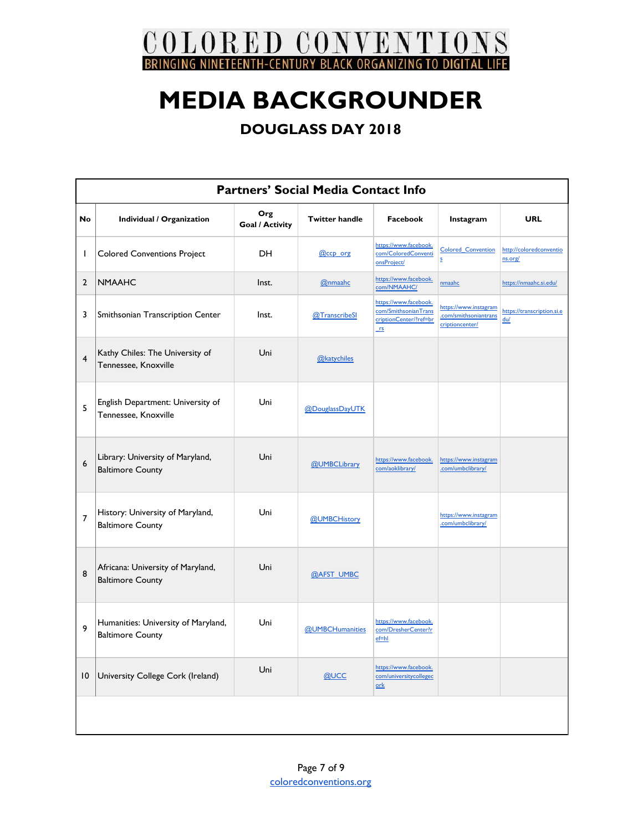

| <b>Partners' Social Media Contact Info</b> |                                                                |                               |                       |                                                                               |                                                                   |                                    |
|--------------------------------------------|----------------------------------------------------------------|-------------------------------|-----------------------|-------------------------------------------------------------------------------|-------------------------------------------------------------------|------------------------------------|
| <b>No</b>                                  | Individual / Organization                                      | Org<br><b>Goal / Activity</b> | <b>Twitter handle</b> | Facebook                                                                      | Instagram                                                         | <b>URL</b>                         |
| ı                                          | <b>Colored Conventions Project</b>                             | DH.                           | @ccp org              | https://www.facebook.<br>com/ColoredConventi<br>onsProject/                   | <b>Colored Convention</b><br>s                                    | http://coloredconventio<br>ns.org/ |
| $\overline{2}$                             | <b>NMAAHC</b>                                                  | Inst.                         | @nmaahc               | https://www.facebook.<br>com/NMAAHC/                                          | nmaahc                                                            | https://nmaahc.si.edu/             |
| 3                                          | Smithsonian Transcription Center                               | Inst.                         | @TranscribeSI         | https://www.facebook.<br>com/SmithsonianTrans<br>criptionCenter/?ref=br<br>rs | https://www.instagram<br>.com/smithsoniantrans<br>criptioncenter/ | https://transcription.si.e<br>du/  |
| $\overline{4}$                             | Kathy Chiles: The University of<br>Tennessee, Knoxville        | Uni                           | @katychiles           |                                                                               |                                                                   |                                    |
| 5                                          | English Department: University of<br>Tennessee, Knoxville      | Uni                           | @DouglassDayUTK       |                                                                               |                                                                   |                                    |
| 6                                          | Library: University of Maryland,<br><b>Baltimore County</b>    | Uni                           | @UMBCLibrary          | https://www.facebook.<br>com/aoklibrary/                                      | https://www.instagram<br>.com/umbclibrary/                        |                                    |
| $\overline{7}$                             | History: University of Maryland,<br><b>Baltimore County</b>    | Uni                           | @UMBCHistory          |                                                                               | https://www.instagram<br>.com/umbclibrary/                        |                                    |
| 8                                          | Africana: University of Maryland,<br><b>Baltimore County</b>   | Uni                           | @AFST UMBC            |                                                                               |                                                                   |                                    |
| 9                                          | Humanities: University of Maryland,<br><b>Baltimore County</b> | Uni                           | @UMBCHumanities       | https://www.facebook.<br>com/DresherCenter?r<br>$ef=hl$                       |                                                                   |                                    |
| 10                                         | University College Cork (Ireland)                              | Uni                           | @UCC                  | https://www.facebook.<br>com/universitycollegec<br>$ork$                      |                                                                   |                                    |
|                                            |                                                                |                               |                       |                                                                               |                                                                   |                                    |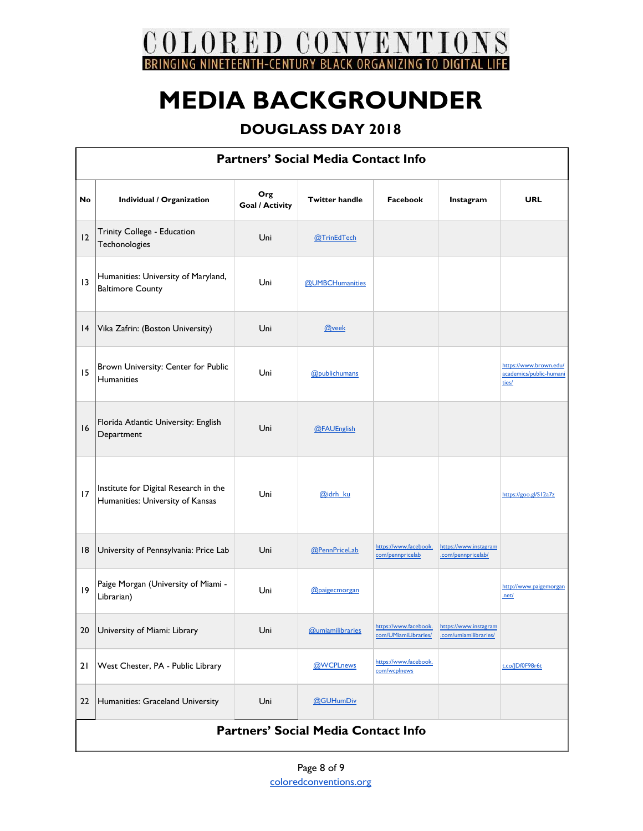

| <b>Partners' Social Media Contact Info</b> |                                                                           |                               |                         |                                               |                                                |                                                            |  |
|--------------------------------------------|---------------------------------------------------------------------------|-------------------------------|-------------------------|-----------------------------------------------|------------------------------------------------|------------------------------------------------------------|--|
| No                                         | Individual / Organization                                                 | Org<br><b>Goal / Activity</b> | <b>Twitter handle</b>   | Facebook                                      | Instagram                                      | <b>URL</b>                                                 |  |
| 12                                         | Trinity College - Education<br>Techonologies                              | Uni                           | @TrinEdTech             |                                               |                                                |                                                            |  |
| 3                                          | Humanities: University of Maryland,<br><b>Baltimore County</b>            | Uni                           | @UMBCHumanities         |                                               |                                                |                                                            |  |
| 4                                          | Vika Zafrin: (Boston University)                                          | Uni                           | @veek                   |                                               |                                                |                                                            |  |
| 15                                         | Brown University: Center for Public<br>Humanities                         | Uni                           | @publichumans           |                                               |                                                | https://www.brown.edu/<br>academics/public-humani<br>ties/ |  |
| 16                                         | Florida Atlantic University: English<br>Department                        | Uni                           | @FAUEnglish             |                                               |                                                |                                                            |  |
| 17                                         | Institute for Digital Research in the<br>Humanities: University of Kansas | Uni                           | @idrh ku                |                                               |                                                | https://goo.gl/S12a7z                                      |  |
| 18                                         | University of Pennsylvania: Price Lab                                     | Uni                           | @PennPriceLab           | https://www.facebook.<br>com/pennpricelab     | https://www.instagram<br>.com/pennpricelab/    |                                                            |  |
| 9                                          | Paige Morgan (University of Miami -<br>Librarian)                         | Uni                           | @paigecmorgan           |                                               |                                                | http://www.paigemorgan<br>.net/                            |  |
| 20                                         | University of Miami: Library                                              | Uni                           | <b>@umiamilibraries</b> | https://www.facebook.<br>com/UMiamiLibraries/ | https://www.instagram<br>.com/umiamilibraries/ |                                                            |  |
| 21                                         | West Chester, PA - Public Library                                         |                               | @WCPLnews               | https://www.facebook.<br>com/wcplnews         |                                                | t.co/JDf0F98r6t                                            |  |
| 22                                         | Humanities: Graceland University                                          | Uni                           | @GUHumDiv               |                                               |                                                |                                                            |  |
| <b>Partners' Social Media Contact Info</b> |                                                                           |                               |                         |                                               |                                                |                                                            |  |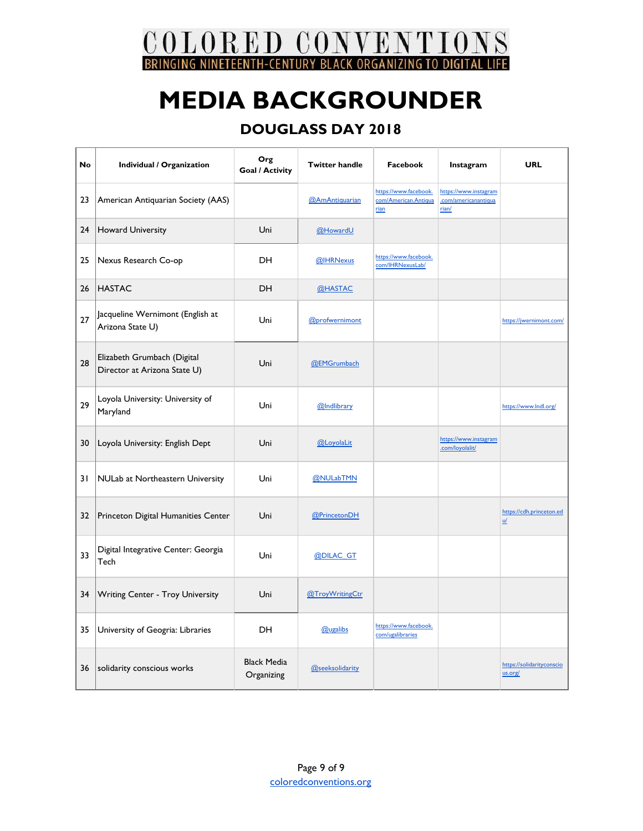COLORED CONVENTIONS BRINGING NINETEENTH-CENTURY BLACK ORGANIZING TO DIGITAL **TIFF** 

## **MEDIA BACKGROUNDER**

| No | Individual / Organization                                   | Org<br><b>Goal / Activity</b>    | <b>Twitter handle</b> | Facebook                                              | Instagram                                              | <b>URL</b>                                  |
|----|-------------------------------------------------------------|----------------------------------|-----------------------|-------------------------------------------------------|--------------------------------------------------------|---------------------------------------------|
| 23 | American Antiquarian Society (AAS)                          |                                  | @AmAntiquarian        | https://www.facebook.<br>com/American.Antiqua<br>rian | https://www.instagram<br>.com/americanantiqua<br>rian/ |                                             |
| 24 | <b>Howard University</b>                                    | Uni                              | @HowardU              |                                                       |                                                        |                                             |
| 25 | Nexus Research Co-op                                        | DH                               | @IHRNexus             | https://www.facebook.<br>com/IHRNexusLab/             |                                                        |                                             |
| 26 | <b>HASTAC</b>                                               | <b>DH</b>                        | @HASTAC               |                                                       |                                                        |                                             |
| 27 | Jacqueline Wernimont (English at<br>Arizona State U)        | Uni                              | @profwernimont        |                                                       |                                                        | https://jwernimont.com/                     |
| 28 | Elizabeth Grumbach (Digital<br>Director at Arizona State U) | Uni                              | @EMGrumbach           |                                                       |                                                        |                                             |
| 29 | Loyola University: University of<br>Maryland                | Uni                              | @Indlibrary           |                                                       |                                                        | https://www.lndl.org/                       |
| 30 | Loyola University: English Dept                             | Uni                              | @LoyolaLit            |                                                       | https://www.instagram<br>.com/loyolalit/               |                                             |
| 31 | NULab at Northeastern University                            | Uni                              | @NULabTMN             |                                                       |                                                        |                                             |
| 32 | Princeton Digital Humanities Center                         | Uni                              | @PrincetonDH          |                                                       |                                                        | https://cdh.princeton.ed<br>$\underline{u}$ |
| 33 | Digital Integrative Center: Georgia<br>Tech                 | Uni                              | @DILAC GT             |                                                       |                                                        |                                             |
| 34 | Writing Center - Troy University                            | Uni                              | @TroyWritingCtr       |                                                       |                                                        |                                             |
| 35 | University of Geogria: Libraries                            | <b>DH</b>                        | <b>@ugalibs</b>       | https://www.facebook.<br>com/ugalibraries             |                                                        |                                             |
| 36 | solidarity conscious works                                  | <b>Black Media</b><br>Organizing | @seeksolidarity       |                                                       |                                                        | https://solidarityconscio<br>us.org/        |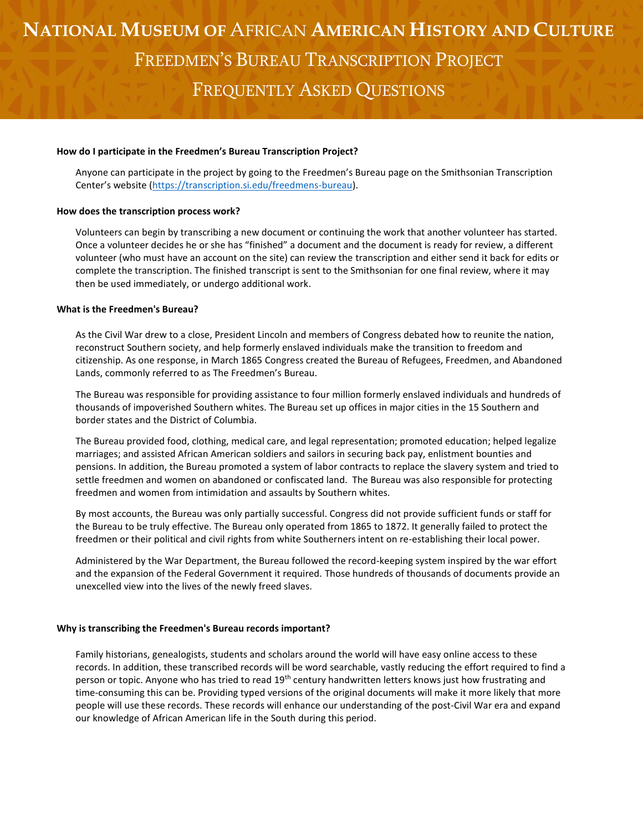## **NATIONAL MUSEUM OF** AFRICAN **AMERICAN HISTORY AND CULTURE** FREEDMEN'S BUREAU TRANSCRIPTION PROJECT FREQUENTLY ASKED QUESTIONS

#### **How do I participate in the Freedmen's Bureau Transcription Project?**

Anyone can participate in the project by going to the Freedmen's Bureau page on the Smithsonian Transcription Center's website ([https://transcription.si.edu/freedmens-bureau\)](https://transcription.si.edu/freedmens-bureau).

### **How does the transcription process work?**

Volunteers can begin by transcribing a new document or continuing the work that another volunteer has started. Once a volunteer decides he or she has "finished" a document and the document is ready for review, a different volunteer (who must have an account on the site) can review the transcription and either send it back for edits or complete the transcription. The finished transcript is sent to the Smithsonian for one final review, where it may then be used immediately, or undergo additional work.

#### **What is the Freedmen's Bureau?**

As the Civil War drew to a close, President Lincoln and members of Congress debated how to reunite the nation, reconstruct Southern society, and help formerly enslaved individuals make the transition to freedom and citizenship. As one response, in March 1865 Congress created the Bureau of Refugees, Freedmen, and Abandoned Lands, commonly referred to as The Freedmen's Bureau.

The Bureau was responsible for providing assistance to four million formerly enslaved individuals and hundreds of thousands of impoverished Southern whites. The Bureau set up offices in major cities in the 15 Southern and border states and the District of Columbia.

The Bureau provided food, clothing, medical care, and legal representation; promoted education; helped legalize marriages; and assisted African American soldiers and sailors in securing back pay, enlistment bounties and pensions. In addition, the Bureau promoted a system of labor contracts to replace the slavery system and tried to settle freedmen and women on abandoned or confiscated land. The Bureau was also responsible for protecting freedmen and women from intimidation and assaults by Southern whites.

By most accounts, the Bureau was only partially successful. Congress did not provide sufficient funds or staff for the Bureau to be truly effective. The Bureau only operated from 1865 to 1872. It generally failed to protect the freedmen or their political and civil rights from white Southerners intent on re-establishing their local power.

Administered by the War Department, the Bureau followed the record-keeping system inspired by the war effort and the expansion of the Federal Government it required. Those hundreds of thousands of documents provide an unexcelled view into the lives of the newly freed slaves.

#### **Why is transcribing the Freedmen's Bureau records important?**

Family historians, genealogists, students and scholars around the world will have easy online access to these records. In addition, these transcribed records will be word searchable, vastly reducing the effort required to find a person or topic. Anyone who has tried to read 19<sup>th</sup> century handwritten letters knows just how frustrating and time-consuming this can be. Providing typed versions of the original documents will make it more likely that more people will use these records. These records will enhance our understanding of the post-Civil War era and expand our knowledge of African American life in the South during this period.